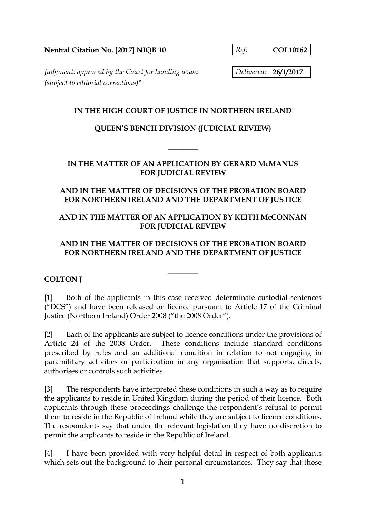**Neutral Citation No. [2017] NIQB 10** *Ref:* **COL10162**

*Judgment: approved by the Court for handing down Delivered:* **26/1/2017** *(subject to editorial corrections)\**

#### **IN THE HIGH COURT OF JUSTICE IN NORTHERN IRELAND**

# **QUEEN'S BENCH DIVISION (JUDICIAL REVIEW)**

**\_\_\_\_\_\_\_\_** 

## **IN THE MATTER OF AN APPLICATION BY GERARD McMANUS FOR JUDICIAL REVIEW**

### **AND IN THE MATTER OF DECISIONS OF THE PROBATION BOARD FOR NORTHERN IRELAND AND THE DEPARTMENT OF JUSTICE**

## **AND IN THE MATTER OF AN APPLICATION BY KEITH McCONNAN FOR JUDICIAL REVIEW**

## **AND IN THE MATTER OF DECISIONS OF THE PROBATION BOARD FOR NORTHERN IRELAND AND THE DEPARTMENT OF JUSTICE**

**\_\_\_\_\_\_\_\_** 

# **COLTON J**

[1] Both of the applicants in this case received determinate custodial sentences ("DCS") and have been released on licence pursuant to Article 17 of the Criminal Justice (Northern Ireland) Order 2008 ("the 2008 Order").

[2] Each of the applicants are subject to licence conditions under the provisions of Article 24 of the 2008 Order. These conditions include standard conditions prescribed by rules and an additional condition in relation to not engaging in paramilitary activities or participation in any organisation that supports, directs, authorises or controls such activities.

[3] The respondents have interpreted these conditions in such a way as to require the applicants to reside in United Kingdom during the period of their licence. Both applicants through these proceedings challenge the respondent's refusal to permit them to reside in the Republic of Ireland while they are subject to licence conditions. The respondents say that under the relevant legislation they have no discretion to permit the applicants to reside in the Republic of Ireland.

[4] I have been provided with very helpful detail in respect of both applicants which sets out the background to their personal circumstances. They say that those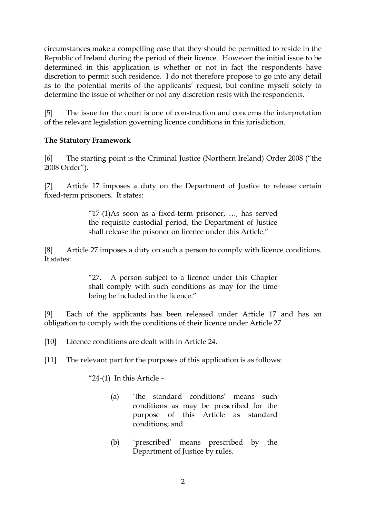circumstances make a compelling case that they should be permitted to reside in the Republic of Ireland during the period of their licence. However the initial issue to be determined in this application is whether or not in fact the respondents have discretion to permit such residence. I do not therefore propose to go into any detail as to the potential merits of the applicants' request, but confine myself solely to determine the issue of whether or not any discretion rests with the respondents.

[5] The issue for the court is one of construction and concerns the interpretation of the relevant legislation governing licence conditions in this jurisdiction.

### **The Statutory Framework**

[6] The starting point is the Criminal Justice (Northern Ireland) Order 2008 ("the 2008 Order").

[7] Article 17 imposes a duty on the Department of Justice to release certain fixed-term prisoners. It states:

> "17-(1)As soon as a fixed-term prisoner, …, has served the requisite custodial period, the Department of Justice shall release the prisoner on licence under this Article."

[8] Article 27 imposes a duty on such a person to comply with licence conditions. It states:

> "27. A person subject to a licence under this Chapter shall comply with such conditions as may for the time being be included in the licence."

[9] Each of the applicants has been released under Article 17 and has an obligation to comply with the conditions of their licence under Article 27.

[10] Licence conditions are dealt with in Article 24.

[11] The relevant part for the purposes of this application is as follows:

" $24-(1)$  In this Article –

- (a) `the standard conditions' means such conditions as may be prescribed for the purpose of this Article as standard conditions; and
- (b) `prescribed' means prescribed by the Department of Justice by rules.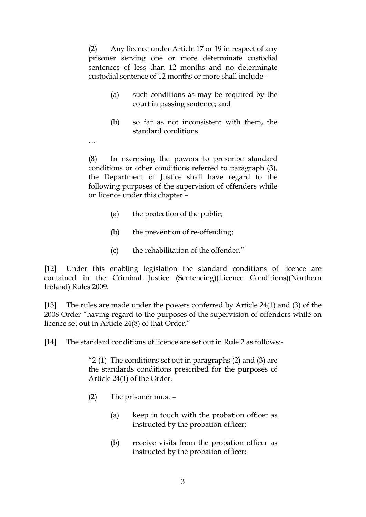(2) Any licence under Article 17 or 19 in respect of any prisoner serving one or more determinate custodial sentences of less than 12 months and no determinate custodial sentence of 12 months or more shall include –

- (a) such conditions as may be required by the court in passing sentence; and
- (b) so far as not inconsistent with them, the standard conditions.

…

(8) In exercising the powers to prescribe standard conditions or other conditions referred to paragraph (3), the Department of Justice shall have regard to the following purposes of the supervision of offenders while on licence under this chapter –

- (a) the protection of the public;
- (b) the prevention of re-offending;
- (c) the rehabilitation of the offender."

[12] Under this enabling legislation the standard conditions of licence are contained in the Criminal Justice (Sentencing)(Licence Conditions)(Northern Ireland) Rules 2009.

[13] The rules are made under the powers conferred by Article 24(1) and (3) of the 2008 Order "having regard to the purposes of the supervision of offenders while on licence set out in Article 24(8) of that Order."

[14] The standard conditions of licence are set out in Rule 2 as follows:-

"2-(1) The conditions set out in paragraphs (2) and (3) are the standards conditions prescribed for the purposes of Article 24(1) of the Order.

- (2) The prisoner must
	- (a) keep in touch with the probation officer as instructed by the probation officer;
	- (b) receive visits from the probation officer as instructed by the probation officer;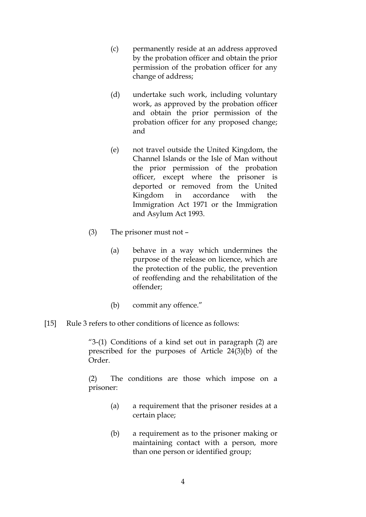- (c) permanently reside at an address approved by the probation officer and obtain the prior permission of the probation officer for any change of address;
- (d) undertake such work, including voluntary work, as approved by the probation officer and obtain the prior permission of the probation officer for any proposed change; and
- (e) not travel outside the United Kingdom, the Channel Islands or the Isle of Man without the prior permission of the probation officer, except where the prisoner is deported or removed from the United Kingdom in accordance with the Immigration Act 1971 or the Immigration and Asylum Act 1993.
- (3) The prisoner must not
	- (a) behave in a way which undermines the purpose of the release on licence, which are the protection of the public, the prevention of reoffending and the rehabilitation of the offender;
	- (b) commit any offence."
- [15] Rule 3 refers to other conditions of licence as follows:

"3-(1) Conditions of a kind set out in paragraph (2) are prescribed for the purposes of Article 24(3)(b) of the Order.

(2) The conditions are those which impose on a prisoner:

- (a) a requirement that the prisoner resides at a certain place;
- (b) a requirement as to the prisoner making or maintaining contact with a person, more than one person or identified group;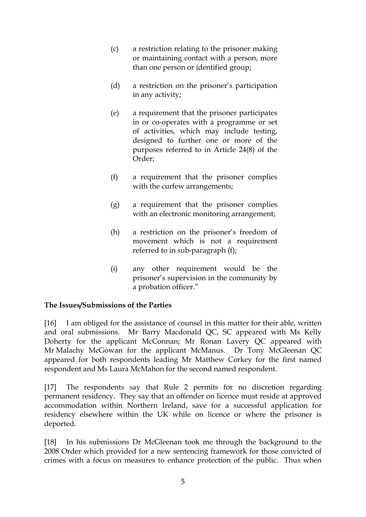- (c) a restriction relating to the prisoner making or maintaining contact with a person, more than one person or identified group;
- (d) a restriction on the prisoner's participation in any activity;
- (e) a requirement that the prisoner participates in or co-operates with a programme or set of activities, which may include testing, designed to further one or more of the purposes referred to in Article 24(8) of the Order;
- (f) a requirement that the prisoner complies with the curfew arrangements;
- (g) a requirement that the prisoner complies with an electronic monitoring arrangement;
- (h) a restriction on the prisoner's freedom of movement which is not a requirement referred to in sub-paragraph (f);
- (i) any other requirement would be the prisoner's supervision in the community by a probation officer."

# **The Issues/Submissions of the Parties**

[16] I am obliged for the assistance of counsel in this matter for their able, written and oral submissions. Mr Barry Macdonald QC, SC appeared with Ms Kelly Doherty for the applicant McConnan; Mr Ronan Lavery QC appeared with Mr Malachy McGowan for the applicant McManus. Dr Tony McGleenan QC appeared for both respondents leading Mr Matthew Corkey for the first named respondent and Ms Laura McMahon for the second named respondent.

[17] The respondents say that Rule 2 permits for no discretion regarding permanent residency. They say that an offender on licence must reside at approved accommodation within Northern Ireland, save for a successful application for residency elsewhere within the UK while on licence or where the prisoner is deported.

[18] In his submissions Dr McGleenan took me through the background to the 2008 Order which provided for a new sentencing framework for those convicted of crimes with a focus on measures to enhance protection of the public. Thus when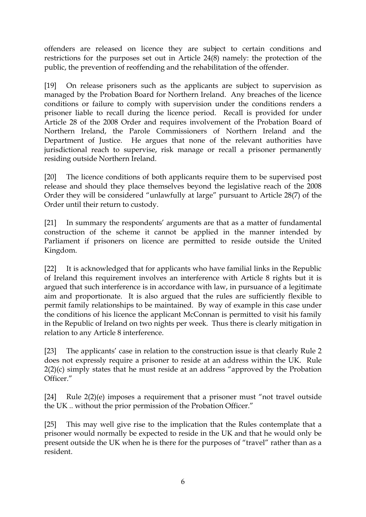offenders are released on licence they are subject to certain conditions and restrictions for the purposes set out in Article 24(8) namely: the protection of the public, the prevention of reoffending and the rehabilitation of the offender.

[19] On release prisoners such as the applicants are subject to supervision as managed by the Probation Board for Northern Ireland. Any breaches of the licence conditions or failure to comply with supervision under the conditions renders a prisoner liable to recall during the licence period. Recall is provided for under Article 28 of the 2008 Order and requires involvement of the Probation Board of Northern Ireland, the Parole Commissioners of Northern Ireland and the Department of Justice. He argues that none of the relevant authorities have jurisdictional reach to supervise, risk manage or recall a prisoner permanently residing outside Northern Ireland.

[20] The licence conditions of both applicants require them to be supervised post release and should they place themselves beyond the legislative reach of the 2008 Order they will be considered "unlawfully at large" pursuant to Article 28(7) of the Order until their return to custody.

[21] In summary the respondents' arguments are that as a matter of fundamental construction of the scheme it cannot be applied in the manner intended by Parliament if prisoners on licence are permitted to reside outside the United Kingdom.

[22] It is acknowledged that for applicants who have familial links in the Republic of Ireland this requirement involves an interference with Article 8 rights but it is argued that such interference is in accordance with law, in pursuance of a legitimate aim and proportionate. It is also argued that the rules are sufficiently flexible to permit family relationships to be maintained. By way of example in this case under the conditions of his licence the applicant McConnan is permitted to visit his family in the Republic of Ireland on two nights per week. Thus there is clearly mitigation in relation to any Article 8 interference.

[23] The applicants' case in relation to the construction issue is that clearly Rule 2 does not expressly require a prisoner to reside at an address within the UK. Rule 2(2)(c) simply states that he must reside at an address "approved by the Probation Officer."

[24] Rule 2(2)(e) imposes a requirement that a prisoner must "not travel outside the UK .. without the prior permission of the Probation Officer."

[25] This may well give rise to the implication that the Rules contemplate that a prisoner would normally be expected to reside in the UK and that he would only be present outside the UK when he is there for the purposes of "travel" rather than as a resident.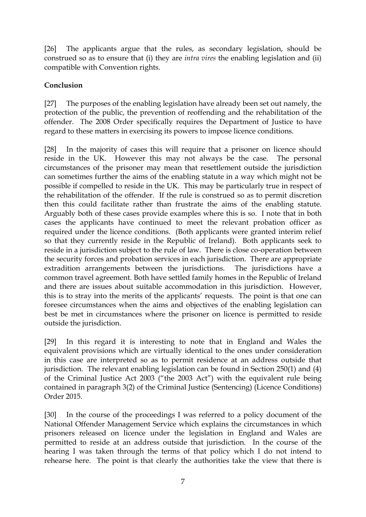[26] The applicants argue that the rules, as secondary legislation, should be construed so as to ensure that (i) they are *intra vires* the enabling legislation and (ii) compatible with Convention rights.

#### **Conclusion**

[27] The purposes of the enabling legislation have already been set out namely, the protection of the public, the prevention of reoffending and the rehabilitation of the offender. The 2008 Order specifically requires the Department of Justice to have regard to these matters in exercising its powers to impose licence conditions.

[28] In the majority of cases this will require that a prisoner on licence should reside in the UK. However this may not always be the case. The personal circumstances of the prisoner may mean that resettlement outside the jurisdiction can sometimes further the aims of the enabling statute in a way which might not be possible if compelled to reside in the UK. This may be particularly true in respect of the rehabilitation of the offender. If the rule is construed so as to permit discretion then this could facilitate rather than frustrate the aims of the enabling statute. Arguably both of these cases provide examples where this is so. I note that in both cases the applicants have continued to meet the relevant probation officer as required under the licence conditions. (Both applicants were granted interim relief so that they currently reside in the Republic of Ireland). Both applicants seek to reside in a jurisdiction subject to the rule of law. There is close co-operation between the security forces and probation services in each jurisdiction. There are appropriate extradition arrangements between the jurisdictions. The jurisdictions have a common travel agreement. Both have settled family homes in the Republic of Ireland and there are issues about suitable accommodation in this jurisdiction. However, this is to stray into the merits of the applicants' requests. The point is that one can foresee circumstances when the aims and objectives of the enabling legislation can best be met in circumstances where the prisoner on licence is permitted to reside outside the jurisdiction.

[29] In this regard it is interesting to note that in England and Wales the equivalent provisions which are virtually identical to the ones under consideration in this case are interpreted so as to permit residence at an address outside that jurisdiction. The relevant enabling legislation can be found in Section 250(1) and (4) of the Criminal Justice Act 2003 ("the 2003 Act") with the equivalent rule being contained in paragraph 3(2) of the Criminal Justice (Sentencing) (Licence Conditions) Order 2015.

[30] In the course of the proceedings I was referred to a policy document of the National Offender Management Service which explains the circumstances in which prisoners released on licence under the legislation in England and Wales are permitted to reside at an address outside that jurisdiction. In the course of the hearing I was taken through the terms of that policy which I do not intend to rehearse here. The point is that clearly the authorities take the view that there is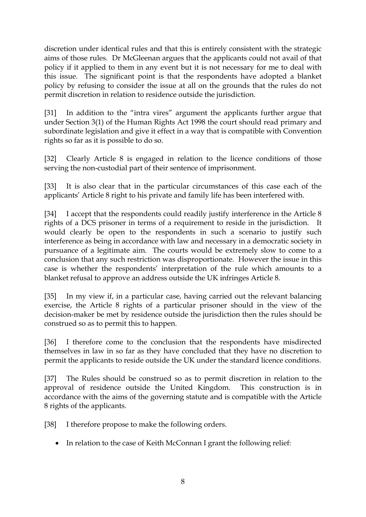discretion under identical rules and that this is entirely consistent with the strategic aims of those rules. Dr McGleenan argues that the applicants could not avail of that policy if it applied to them in any event but it is not necessary for me to deal with this issue. The significant point is that the respondents have adopted a blanket policy by refusing to consider the issue at all on the grounds that the rules do not permit discretion in relation to residence outside the jurisdiction.

[31] In addition to the "intra vires" argument the applicants further argue that under Section 3(1) of the Human Rights Act 1998 the court should read primary and subordinate legislation and give it effect in a way that is compatible with Convention rights so far as it is possible to do so.

[32] Clearly Article 8 is engaged in relation to the licence conditions of those serving the non-custodial part of their sentence of imprisonment.

[33] It is also clear that in the particular circumstances of this case each of the applicants' Article 8 right to his private and family life has been interfered with.

[34] I accept that the respondents could readily justify interference in the Article 8 rights of a DCS prisoner in terms of a requirement to reside in the jurisdiction. It would clearly be open to the respondents in such a scenario to justify such interference as being in accordance with law and necessary in a democratic society in pursuance of a legitimate aim. The courts would be extremely slow to come to a conclusion that any such restriction was disproportionate. However the issue in this case is whether the respondents' interpretation of the rule which amounts to a blanket refusal to approve an address outside the UK infringes Article 8.

[35] In my view if, in a particular case, having carried out the relevant balancing exercise, the Article 8 rights of a particular prisoner should in the view of the decision-maker be met by residence outside the jurisdiction then the rules should be construed so as to permit this to happen.

[36] I therefore come to the conclusion that the respondents have misdirected themselves in law in so far as they have concluded that they have no discretion to permit the applicants to reside outside the UK under the standard licence conditions.

[37] The Rules should be construed so as to permit discretion in relation to the approval of residence outside the United Kingdom. This construction is in accordance with the aims of the governing statute and is compatible with the Article 8 rights of the applicants.

[38] I therefore propose to make the following orders.

• In relation to the case of Keith McConnan I grant the following relief: